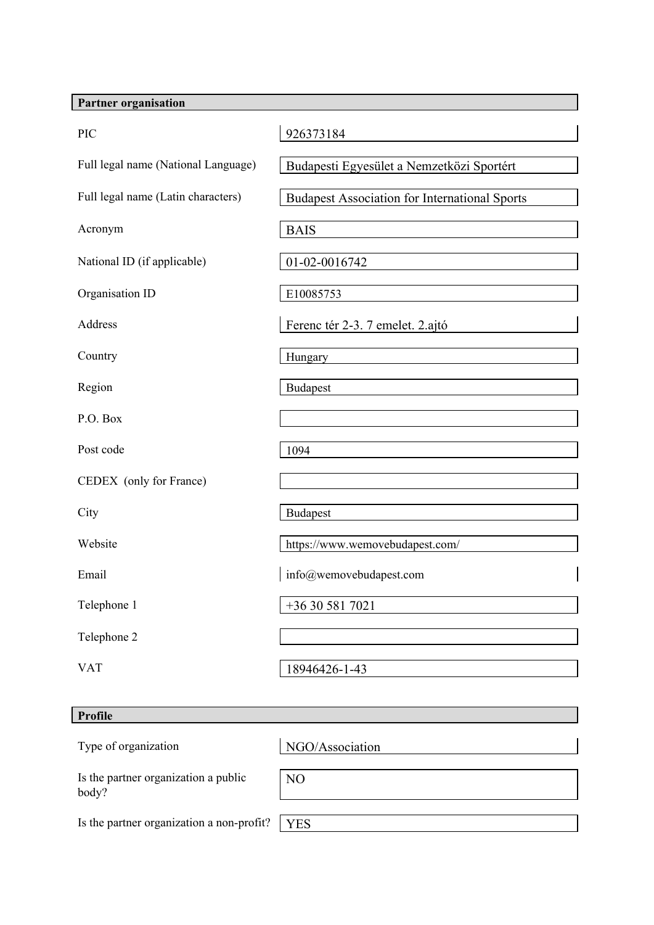| <b>Partner organisation</b>         |                                                      |
|-------------------------------------|------------------------------------------------------|
| <b>PIC</b>                          | 926373184                                            |
| Full legal name (National Language) | Budapesti Egyesület a Nemzetközi Sportért            |
| Full legal name (Latin characters)  | <b>Budapest Association for International Sports</b> |
| Acronym                             | <b>BAIS</b>                                          |
| National ID (if applicable)         | 01-02-0016742                                        |
| Organisation ID                     | E10085753                                            |
| <b>Address</b>                      | Ferenc tér 2-3. 7 emelet. 2.ajtó                     |
| Country                             | Hungary                                              |
| Region                              | <b>Budapest</b>                                      |
| P.O. Box                            |                                                      |
| Post code                           | 1094                                                 |
| CEDEX (only for France)             |                                                      |
| City                                | <b>Budapest</b>                                      |
| Website                             | https://www.wemovebudapest.com/                      |
| Email                               | info@wemovebudapest.com                              |
| Telephone 1                         | +36 30 581 7021                                      |
| Telephone 2                         |                                                      |
| <b>VAT</b>                          | 18946426-1-43                                        |
|                                     |                                                      |

|--|

| Type of organization                          | NGO/Association |
|-----------------------------------------------|-----------------|
| Is the partner organization a public<br>body? | N <sub>O</sub>  |
| Is the partner organization a non-profit?     | <b>YES</b>      |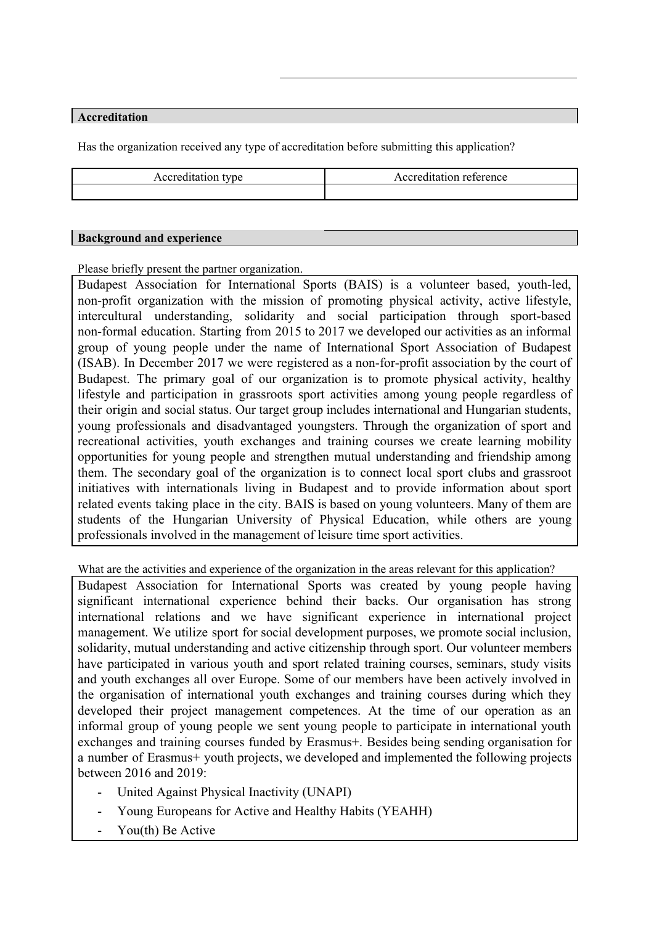## **Accreditation**

Has the organization received any type of accreditation before submitting this application?

| Accreditation type | Accreditation reference |
|--------------------|-------------------------|
|                    |                         |

## **Background and experience**

Please briefly present the partner organization.

Budapest Association for International Sports (BAIS) is a volunteer based, youth-led, non-profit organization with the mission of promoting physical activity, active lifestyle, intercultural understanding, solidarity and social participation through sport-based non-formal education. Starting from 2015 to 2017 we developed our activities as an informal group of young people under the name of International Sport Association of Budapest (ISAB). In December 2017 we were registered as a non-for-profit association by the court of Budapest. The primary goal of our organization is to promote physical activity, healthy lifestyle and participation in grassroots sport activities among young people regardless of their origin and social status. Our target group includes international and Hungarian students, young professionals and disadvantaged youngsters. Through the organization of sport and recreational activities, youth exchanges and training courses we create learning mobility opportunities for young people and strengthen mutual understanding and friendship among them. The secondary goal of the organization is to connect local sport clubs and grassroot initiatives with internationals living in Budapest and to provide information about sport related events taking place in the city. BAIS is based on young volunteers. Many of them are students of the Hungarian University of Physical Education, while others are young professionals involved in the management of leisure time sport activities.

What are the activities and experience of the organization in the areas relevant for this application?

Budapest Association for International Sports was created by young people having significant international experience behind their backs. Our organisation has strong international relations and we have significant experience in international project management. We utilize sport for social development purposes, we promote social inclusion, solidarity, mutual understanding and active citizenship through sport. Our volunteer members have participated in various youth and sport related training courses, seminars, study visits and youth exchanges all over Europe. Some of our members have been actively involved in the organisation of international youth exchanges and training courses during which they developed their project management competences. At the time of our operation as an informal group of young people we sent young people to participate in international youth exchanges and training courses funded by Erasmus+. Besides being sending organisation for a number of Erasmus+ youth projects, we developed and implemented the following projects between 2016 and 2019:

- United Against Physical Inactivity (UNAPI)
- Young Europeans for Active and Healthy Habits (YEAHH)
- You(th) Be Active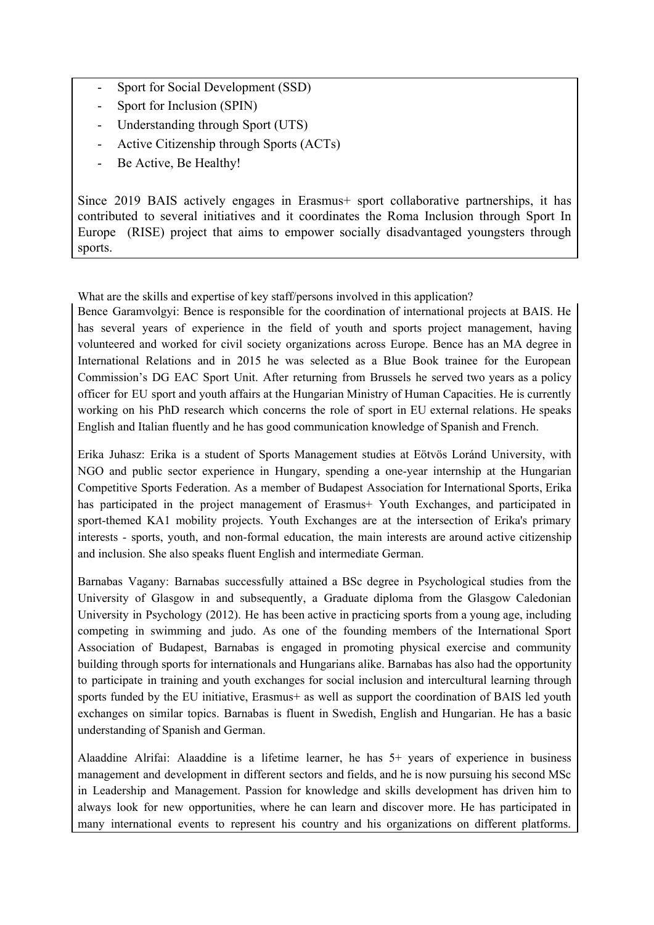- Sport for Social Development (SSD)
- Sport for Inclusion (SPIN)
- Understanding through Sport (UTS)
- Active Citizenship through Sports (ACTs)
- Be Active, Be Healthy!

Since 2019 BAIS actively engages in Erasmus+ sport collaborative partnerships, it has contributed to several initiatives and it coordinates the Roma Inclusion through Sport In Europe (RISE) project that aims to empower socially disadvantaged youngsters through sports.

What are the skills and expertise of key staff/persons involved in this application?

Bence Garamvolgyi: Bence is responsible for the coordination of international projects at BAIS. He has several years of experience in the field of youth and sports project management, having volunteered and worked for civil society organizations across Europe. Bence has an MA degree in International Relations and in 2015 he was selected as a Blue Book trainee for the European Commission's DG EAC Sport Unit. After returning from Brussels he served two years as a policy officer for EU sport and youth affairs at the Hungarian Ministry of Human Capacities. He is currently working on his PhD research which concerns the role of sport in EU external relations. He speaks English and Italian fluently and he has good communication knowledge of Spanish and French.

Erika Juhasz: Erika is a student of Sports Management studies at Eötvös Loránd University, with NGO and public sector experience in Hungary, spending a one-year internship at the Hungarian Competitive Sports Federation. As a member of Budapest Association for International Sports, Erika has participated in the project management of Erasmus+ Youth Exchanges, and participated in sport-themed KA1 mobility projects. Youth Exchanges are at the intersection of Erika's primary interests - sports, youth, and non-formal education, the main interests are around active citizenship and inclusion. She also speaks fluent English and intermediate German.

Barnabas Vagany: Barnabas successfully attained a BSc degree in Psychological studies from the University of Glasgow in and subsequently, a Graduate diploma from the Glasgow Caledonian University in Psychology (2012). He has been active in practicing sports from a young age, including competing in swimming and judo. As one of the founding members of the International Sport Association of Budapest, Barnabas is engaged in promoting physical exercise and community building through sports for internationals and Hungarians alike. Barnabas has also had the opportunity to participate in training and youth exchanges for social inclusion and intercultural learning through sports funded by the EU initiative, Erasmus+ as well as support the coordination of BAIS led youth exchanges on similar topics. Barnabas is fluent in Swedish, English and Hungarian. He has a basic understanding of Spanish and German.

Alaaddine Alrifai: Alaaddine is a lifetime learner, he has 5+ years of experience in business management and development in different sectors and fields, and he is now pursuing his second MSc in Leadership and Management. Passion for knowledge and skills development has driven him to always look for new opportunities, where he can learn and discover more. He has participated in many international events to represent his country and his organizations on different platforms.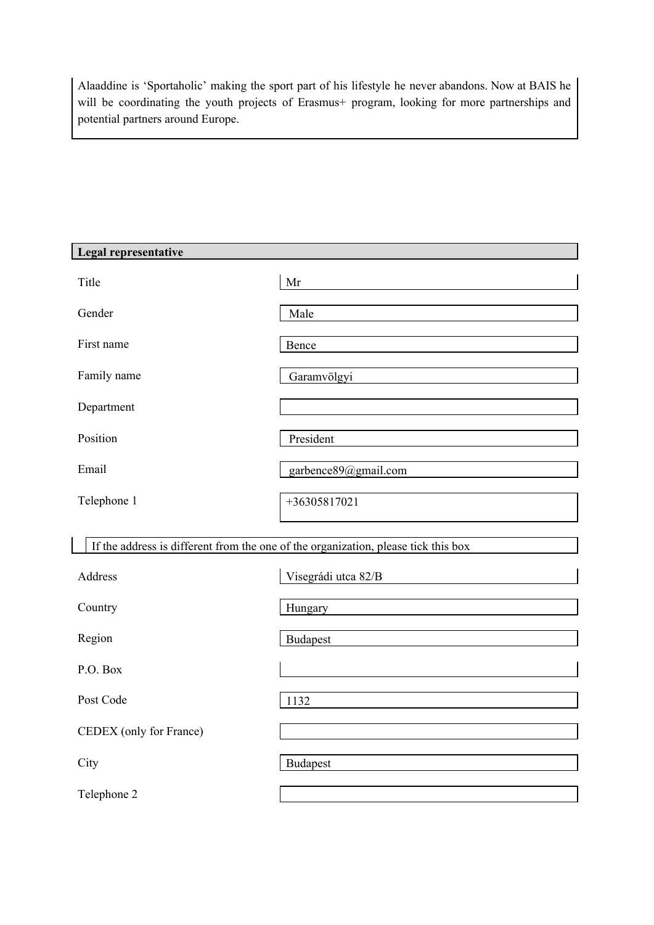Alaaddine is 'Sportaholic' making the sport part of his lifestyle he never abandons. Now at BAIS he will be coordinating the youth projects of Erasmus+ program, looking for more partnerships and potential partners around Europe.

| Legal representative    |                                                                                    |
|-------------------------|------------------------------------------------------------------------------------|
| Title                   | Mr                                                                                 |
| Gender                  | Male                                                                               |
| First name              | Bence                                                                              |
| Family name             | Garamvölgyi                                                                        |
| Department              |                                                                                    |
| Position                | President                                                                          |
| Email                   | garbence89@gmail.com                                                               |
| Telephone 1             | +36305817021                                                                       |
|                         | If the address is different from the one of the organization, please tick this box |
| Address                 | Visegrádi utca 82/B                                                                |
| Country                 | Hungary                                                                            |
| Region                  | <b>Budapest</b>                                                                    |
| P.O. Box                |                                                                                    |
| Post Code               | 1132                                                                               |
| CEDEX (only for France) |                                                                                    |
| City                    | <b>Budapest</b>                                                                    |
| Telephone 2             |                                                                                    |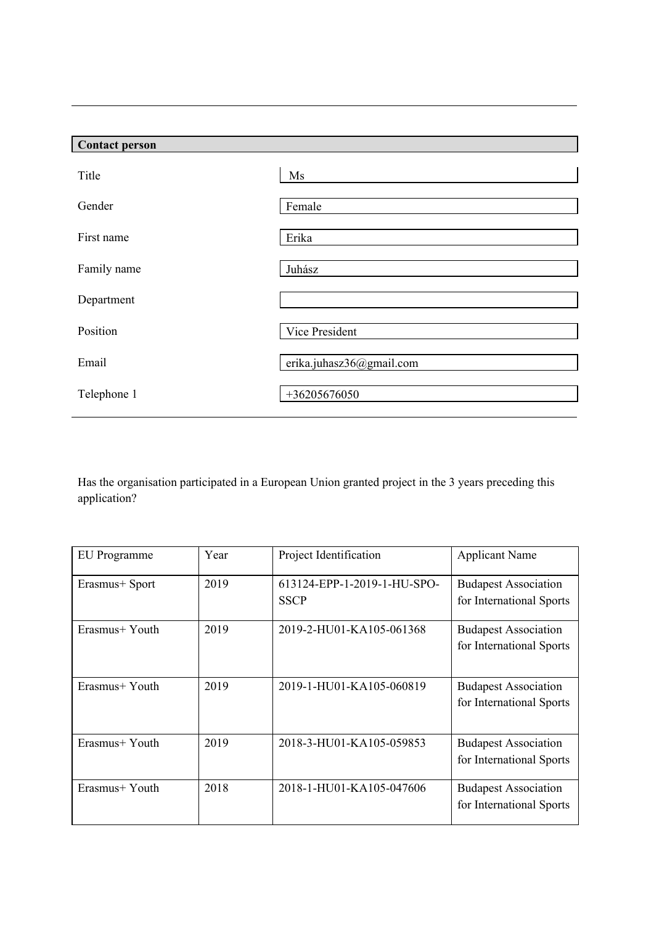| <b>Contact person</b> |                          |
|-----------------------|--------------------------|
| Title                 | Ms                       |
| Gender                | Female                   |
| First name            | Erika                    |
| Family name           | Juhász                   |
| Department            |                          |
| Position              | Vice President           |
| Email                 | erika.juhasz36@gmail.com |
| Telephone 1           | $+36205676050$           |

Has the organisation participated in a European Union granted project in the 3 years preceding this application?

| EU Programme   | Year | Project Identification                     | <b>Applicant Name</b>                                   |
|----------------|------|--------------------------------------------|---------------------------------------------------------|
| Erasmus+ Sport | 2019 | 613124-EPP-1-2019-1-HU-SPO-<br><b>SSCP</b> | <b>Budapest Association</b><br>for International Sports |
| Erasmus+ Youth | 2019 | 2019-2-HU01-KA105-061368                   | <b>Budapest Association</b><br>for International Sports |
| Erasmus+ Youth | 2019 | 2019-1-HU01-KA105-060819                   | <b>Budapest Association</b><br>for International Sports |
| Erasmus+ Youth | 2019 | 2018-3-HU01-KA105-059853                   | <b>Budapest Association</b><br>for International Sports |
| Erasmus+ Youth | 2018 | 2018-1-HU01-KA105-047606                   | <b>Budapest Association</b><br>for International Sports |